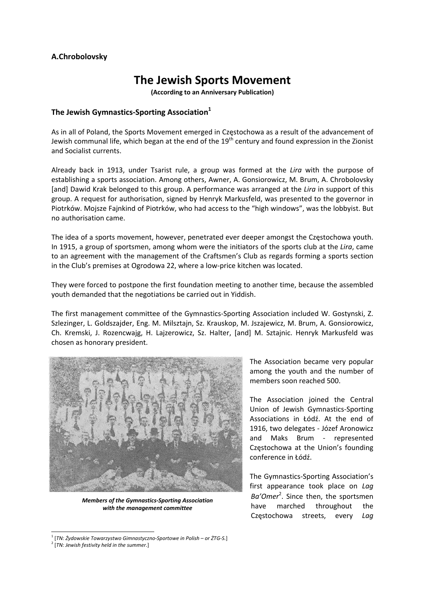## **A.Chrobolovsky**

# **The Jewish Sports Movement**

**(According to an Anniversary Publication)**

## **The Jewish Gymnastics-Sporting Association**<sup>1</sup>

As in all of Poland, the Sports Movement emerged in Częstochowa as a result of the advancement of Jewish communal life, which began at the end of the 19<sup>th</sup> century and found expression in the Zionist and Socialist currents.

Already back in 1913, under Tsarist rule, a group was formed at the *Lira* with the purpose of establishing a sports association. Among others, Awner, A. Gonsiorowicz, M. Brum, A. Chrobolovsky [and] Dawid Krak belonged to this group. A performance was arranged at the *Lira* in support of this group. A request for authorisation, signed by Henryk Markusfeld, was presented to the governor in Piotrków. Mojsze Fajnkind of Piotrków, who had access to the "high windows", was the lobbyist. But no authorisation came.

The idea of a sports movement, however, penetrated ever deeper amongst the Częstochowa youth. In 1915, a group of sportsmen, among whom were the initiators of the sports club at the *Lira*, came to an agreement with the management of the Craftsmen's Club as regards forming a sports section in the Club's premises at Ogrodowa 22, where a low‐price kitchen was located.

They were forced to postpone the first foundation meeting to another time, because the assembled youth demanded that the negotiations be carried out in Yiddish.

The first management committee of the Gymnastics‐Sporting Association included W. Gostynski, Z. Szlezinger, L. Goldszajder, Eng. M. Milsztajn, Sz. Krauskop, M. Jszajewicz, M. Brum, A. Gonsiorowicz, Ch. Kremski, J. Rozencwajg, H. Lajzerowicz, Sz. Halter, [and] M. Sztajnic. Henryk Markusfeld was chosen as honorary president.



*Members of the Gymnastics‐Sporting Association with the management committee*

The Association became very popular among the youth and the number of members soon reached 500.

The Association joined the Central Union of Jewish Gymnastics‐Sporting Associations in Łódź. At the end of 1916, two delegates ‐ Józef Aronowicz and Maks Brum - represented Częstochowa at the Union's founding conference in Łódź.

The Gymnastics‐Sporting Association's first appearance took place on *Lag Ba'Omer*<sup>2</sup> . Since then, the sportsmen have marched throughout the Częstochowa streets, every *Lag*

<sup>1</sup> [*TN: Żydowskie Towarzystwo Gimnastyczno‐Sportowe in Polish – or ŻTG‐S.*]

 <sup>2</sup> [*TN: Jewish festivity held in the summer.*]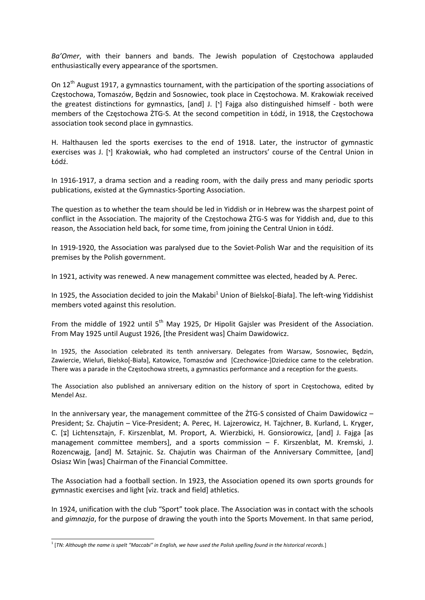*Ba'Omer*, with their banners and bands. The Jewish population of Częstochowa applauded enthusiastically every appearance of the sportsmen.

On  $12^{th}$  August 1917, a gymnastics tournament, with the participation of the sporting associations of Częstochowa, Tomaszów, Będzin and Sosnowiec, took place in Częstochowa. M. Krakowiak received the greatest distinctions for gymnastics, [and] J. [ $\cdot$ ] Fajga also distinguished himself - both were members of the Częstochowa ŻTG‐S. At the second competition in Łódź, in 1918, the Częstochowa association took second place in gymnastics.

H. Halthausen led the sports exercises to the end of 1918. Later, the instructor of gymnastic exercises was J. [ $\cdot$ ] Krakowiak, who had completed an instructors' course of the Central Union in Łódź.

In 1916‐1917, a drama section and a reading room, with the daily press and many periodic sports publications, existed at the Gymnastics‐Sporting Association.

The question as to whether the team should be led in Yiddish or in Hebrew was the sharpest point of conflict in the Association. The majority of the Częstochowa ŻTG‐S was for Yiddish and, due to this reason, the Association held back, for some time, from joining the Central Union in Łódź.

In 1919-1920, the Association was paralysed due to the Soviet-Polish War and the requisition of its premises by the Polish government.

In 1921, activity was renewed. A new management committee was elected, headed by A. Perec.

In 1925, the Association decided to join the Makabi<sup>1</sup> Union of Bielsko[-Biała]. The left-wing Yiddishist members voted against this resolution.

From the middle of 1922 until 5<sup>th</sup> May 1925. Dr Hipolit Gaisler was President of the Association. From May 1925 until August 1926, [the President was] Chaim Dawidowicz.

In 1925, the Association celebrated its tenth anniversary. Delegates from Warsaw, Sosnowiec, Będzin, Zawiercie, Wieluń, Bielsko[‐Biała], Katowice, Tomaszów and [Czechowice‐]Dziedzice came to the celebration. There was a parade in the Częstochowa streets, a gymnastics performance and a reception for the guests.

The Association also published an anniversary edition on the history of sport in Częstochowa, edited by Mendel Asz.

In the anniversary year, the management committee of the  $2TG-S$  consisted of Chaim Dawidowicz – President; Sz. Chajutin – Vice‐President; A. Perec, H. Lajzerowicz, H. Tajchner, B. Kurland, L. Kryger, C. [x] Lichtensztajn, F. Kirszenblat, M. Proport, A. Wierzbicki, H. Gonsiorowicz, [and] J. Fajga [as management committee members], and a sports commission – F. Kirszenblat, M. Kremski, J. Rozencwajg, [and] M. Sztajnic. Sz. Chajutin was Chairman of the Anniversary Committee, [and] Osiasz Win [was] Chairman of the Financial Committee.

The Association had a football section. In 1923, the Association opened its own sports grounds for gymnastic exercises and light [viz. track and field] athletics.

In 1924, unification with the club "Sport" took place. The Association was in contact with the schools and *gimnazja*, for the purpose of drawing the youth into the Sports Movement. In that same period,

<u> Andreas Andreas Andreas Andreas Andreas Andreas Andreas Andreas Andreas Andreas Andreas Andreas Andreas Andr</u>

<sup>&</sup>lt;sup>1</sup> [TN: Although the name is spelt "Maccabi" in English, we have used the Polish spelling found in the historical records.]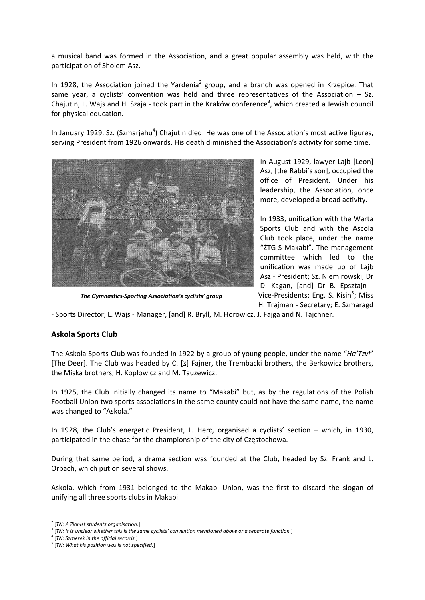a musical band was formed in the Association, and a great popular assembly was held, with the participation of Sholem Asz.

In 1928, the Association joined the Yardenia<sup>2</sup> group, and a branch was opened in Krzepice. That same year, a cyclists' convention was held and three representatives of the Association - Sz. Chajutin, L. Wajs and H. Szaja - took part in the Kraków conference<sup>3</sup>, which created a Jewish council for physical education.

In January 1929, Sz. (Szmarjahu<sup>4</sup>) Chajutin died. He was one of the Association's most active figures, serving President from 1926 onwards. His death diminished the Association's activity for some time.



In August 1929, lawyer Lajb [Leon] Asz, [the Rabbi's son], occupied the office of President. Under his leadership, the Association, once more, developed a broad activity.

In 1933, unification with the Warta Sports Club and with the Ascola Club took place, under the name "ŻTG‐S Makabi". The management committee which led to the unification was made up of Lajb Asz ‐ President; Sz. Niemirowski, Dr D. Kagan, [and] Dr B. Epsztajn ‐ Vice-Presidents; Eng. S. Kisin<sup>5</sup>; Miss H. Trajman ‐ Secretary; E. Szmaragd

*The Gymnastics‐Sporting Association's cyclists' group*

‐ Sports Director; L. Wajs ‐ Manager, [and] R. Bryll, M. Horowicz, J. Fajga and N. Tajchner.

### **Askola Sports Club**

The Askola Sports Club was founded in 1922 by a group of young people, under the name "*Ha'Tzvi*" [The Deer]. The Club was headed by C. [צ [Fajner, the Trembacki brothers, the Berkowicz brothers, the Miska brothers, H. Koplowicz and M. Tauzewicz.

In 1925, the Club initially changed its name to "Makabi" but, as by the regulations of the Polish Football Union two sports associations in the same county could not have the same name, the name was changed to "Askola."

In 1928, the Club's energetic President, L. Herc, organised a cyclists' section – which, in 1930, participated in the chase for the championship of the city of Częstochowa.

During that same period, a drama section was founded at the Club, headed by Sz. Frank and L. Orbach, which put on several shows.

Askola, which from 1931 belonged to the Makabi Union, was the first to discard the slogan of unifying all three sports clubs in Makabi.

<sup>| [</sup>TN: A Zionist students organisation.]<br>| [TN: It is unclear whether this is the same cyclists' convention mentioned above or a separate function.]

<sup>4</sup> [*TN: Szmerek in the official records.*]

<sup>5</sup> [*TN: What his position was is not specified.*]